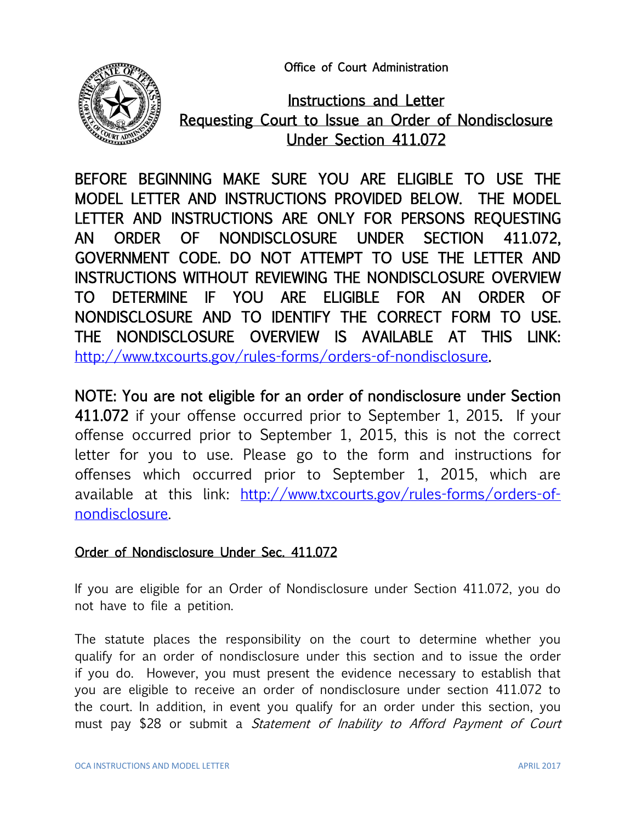Office of Court Administration



Instructions and Letter Requesting Court to Issue an Order of Nondisclosure Under Section 411.072

BEFORE BEGINNING MAKE SURE YOU ARE ELIGIBLE TO USE THE MODEL LETTER AND INSTRUCTIONS PROVIDED BELOW. THE MODEL LETTER AND INSTRUCTIONS ARE ONLY FOR PERSONS REQUESTING AN ORDER OF NONDISCLOSURE UNDER SECTION 411.072, GOVERNMENT CODE. DO NOT ATTEMPT TO USE THE LETTER AND INSTRUCTIONS WITHOUT REVIEWING THE NONDISCLOSURE OVERVIEW TO DETERMINE IF YOU ARE ELIGIBLE FOR AN ORDER OF NONDISCLOSURE AND TO IDENTIFY THE CORRECT FORM TO USE. THE NONDISCLOSURE OVERVIEW IS AVAILABLE AT THIS LINK: [http://www.txcourts.gov/rules-forms/orders-of-nondisclosure.](http://www.txcourts.gov/rules-forms/orders-of-nondisclosure)

NOTE: You are not eligible for an order of nondisclosure under Section 411.072 if your offense occurred prior to September 1, 2015. If your offense occurred prior to September 1, 2015, this is not the correct letter for you to use. Please go to the form and instructions for offenses which occurred prior to September 1, 2015, which are available at this link: [http://www.txcourts.gov/rules-forms/orders-of](http://www.txcourts.gov/rules-forms/orders-of-nondisclosure)[nondisclosure.](http://www.txcourts.gov/rules-forms/orders-of-nondisclosure)

## Order of Nondisclosure Under Sec. 411.072

If you are eligible for an Order of Nondisclosure under Section 411.072, you do not have to file a petition.

The statute places the responsibility on the court to determine whether you qualify for an order of nondisclosure under this section and to issue the order if you do. However, you must present the evidence necessary to establish that you are eligible to receive an order of nondisclosure under section 411.072 to the court. In addition, in event you qualify for an order under this section, you must pay \$28 or submit a Statement of Inability to Afford Payment of Court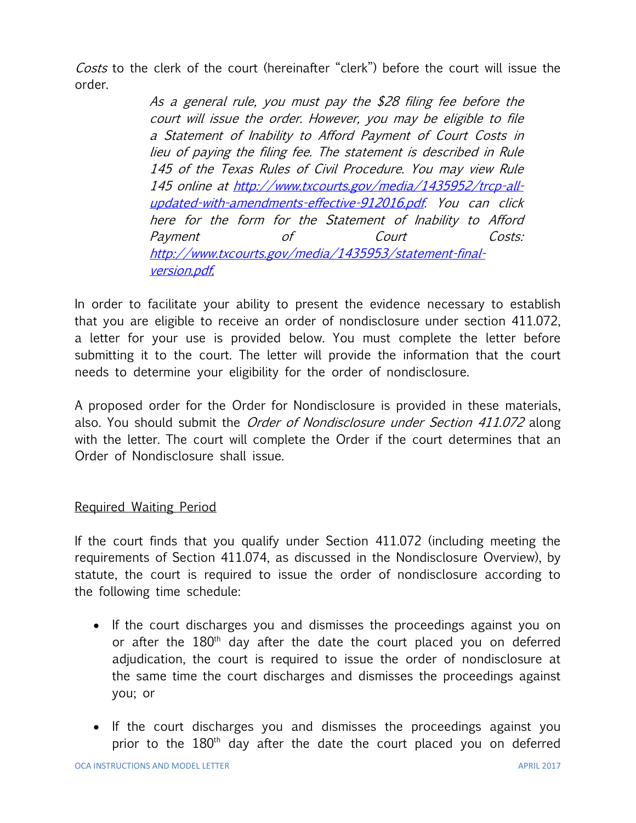Costs to the clerk of the court (hereinafter "clerk") before the court will issue the order.

> As a general rule, you must pay the \$28 filing fee before the court will issue the order. However, you may be eligible to file a Statement of Inability to Afford Payment of Court Costs in lieu of paying the filing fee. The statement is described in Rule 145 of the Texas Rules of Civil Procedure. You may view Rule 145 online at [http://www.txcourts.gov/media/1435952/trcp-all](http://www.txcourts.gov/media/1435952/trcp-all-updated-with-amendments-effective-912016.pdf)[updated-with-amendments-effective-912016.pdf.](http://www.txcourts.gov/media/1435952/trcp-all-updated-with-amendments-effective-912016.pdf) You can click here for the form for the Statement of Inability to Afford Payment of Court Costs: [http://www.txcourts.gov/media/1435953/statement-final](http://www.txcourts.gov/media/1435953/statement-final-version.pdf)[version.pdf.](http://www.txcourts.gov/media/1435953/statement-final-version.pdf)

In order to facilitate your ability to present the evidence necessary to establish that you are eligible to receive an order of nondisclosure under section 411.072, a letter for your use is provided below. You must complete the letter before submitting it to the court. The letter will provide the information that the court needs to determine your eligibility for the order of nondisclosure.

A proposed order for the Order for Nondisclosure is provided in these materials, also. You should submit the Order of Nondisclosure under Section 411.072 along with the letter. The court will complete the Order if the court determines that an Order of Nondisclosure shall issue.

### Required Waiting Period

If the court finds that you qualify under Section 411.072 (including meeting the requirements of Section 411.074, as discussed in the Nondisclosure Overview), by statute, the court is required to issue the order of nondisclosure according to the following time schedule:

- If the court discharges you and dismisses the proceedings against you on or after the  $180<sup>th</sup>$  day after the date the court placed you on deferred adjudication, the court is required to issue the order of nondisclosure at the same time the court discharges and dismisses the proceedings against you; or
- If the court discharges you and dismisses the proceedings against you prior to the 180<sup>th</sup> day after the date the court placed you on deferred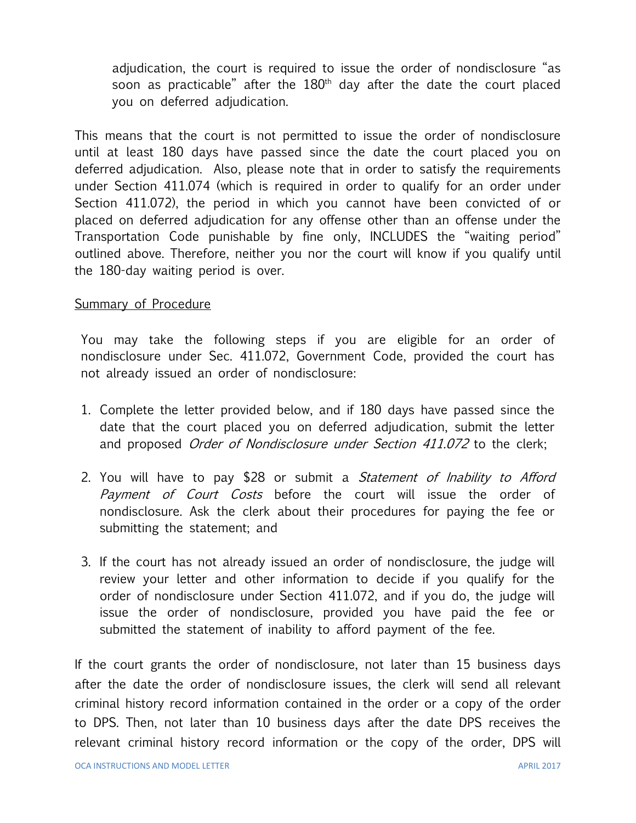adjudication, the court is required to issue the order of nondisclosure "as soon as practicable" after the 180<sup>th</sup> day after the date the court placed you on deferred adjudication.

This means that the court is not permitted to issue the order of nondisclosure until at least 180 days have passed since the date the court placed you on deferred adjudication. Also, please note that in order to satisfy the requirements under Section 411.074 (which is required in order to qualify for an order under Section 411.072), the period in which you cannot have been convicted of or placed on deferred adjudication for any offense other than an offense under the Transportation Code punishable by fine only, INCLUDES the "waiting period" outlined above. Therefore, neither you nor the court will know if you qualify until the 180-day waiting period is over.

#### Summary of Procedure

You may take the following steps if you are eligible for an order of nondisclosure under Sec. 411.072, Government Code, provided the court has not already issued an order of nondisclosure:

- 1. Complete the letter provided below, and if 180 days have passed since the date that the court placed you on deferred adjudication, submit the letter and proposed Order of Nondisclosure under Section 411.072 to the clerk;
- 2. You will have to pay \$28 or submit a *Statement of Inability to Afford* Payment of Court Costs before the court will issue the order of nondisclosure. Ask the clerk about their procedures for paying the fee or submitting the statement; and
- 3. If the court has not already issued an order of nondisclosure, the judge will review your letter and other information to decide if you qualify for the order of nondisclosure under Section 411.072, and if you do, the judge will issue the order of nondisclosure, provided you have paid the fee or submitted the statement of inability to afford payment of the fee.

If the court grants the order of nondisclosure, not later than 15 business days after the date the order of nondisclosure issues, the clerk will send all relevant criminal history record information contained in the order or a copy of the order to DPS. Then, not later than 10 business days after the date DPS receives the relevant criminal history record information or the copy of the order, DPS will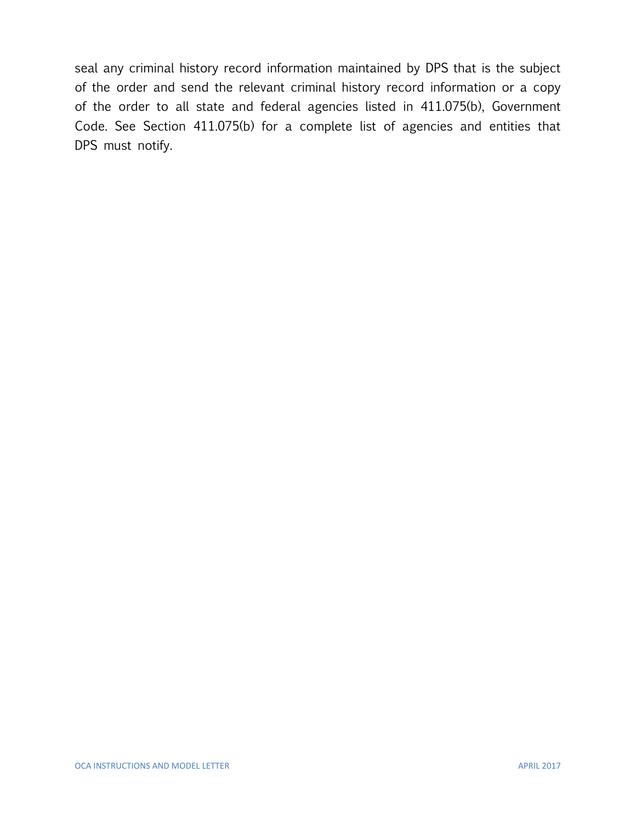seal any criminal history record information maintained by DPS that is the subject of the order and send the relevant criminal history record information or a copy of the order to all state and federal agencies listed in 411.075(b), Government Code. See Section 411.075(b) for a complete list of agencies and entities that DPS must notify.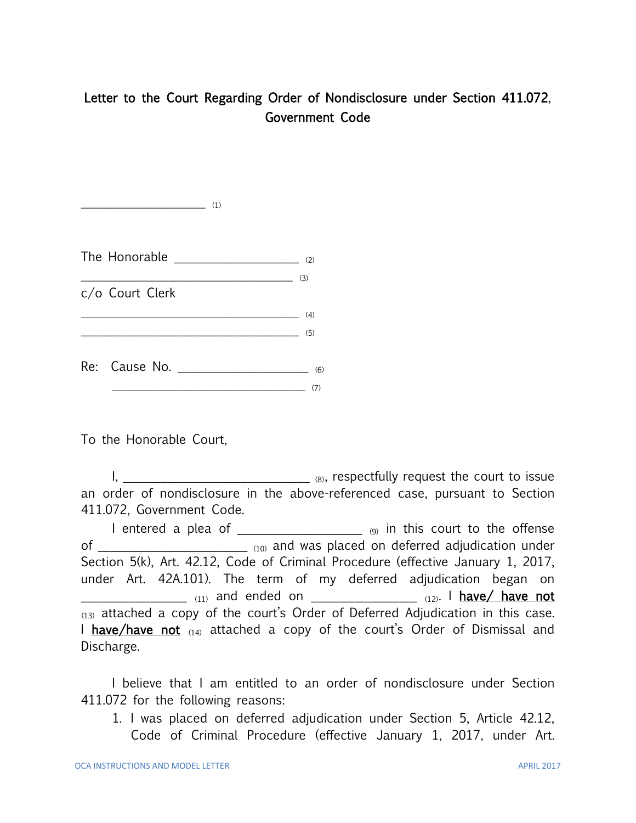# Letter to the Court Regarding Order of Nondisclosure under Section 411.072, Government Code

The Honorable  $\qquad \qquad$  (2)  $\overline{\phantom{a}}$  (3) c/o Court Clerk  $\qquad \qquad \qquad \qquad \textbf{(4)}$ \_\_\_\_\_\_\_\_\_\_\_\_\_\_\_\_\_\_\_\_\_\_\_\_\_\_\_\_\_\_\_\_\_\_\_ (5) Re: Cause No. \_\_\_\_\_\_\_\_\_\_\_\_\_\_\_\_\_\_\_\_\_ (6)  $\tag{7}$ 

 $\overline{\phantom{a}}$  (1)

To the Honorable Court,

 $\mathsf{I}, \underbrace{\hspace{2.5cm} \hspace{2.5cm} }$ an order of nondisclosure in the above-referenced case, pursuant to Section 411.072, Government Code.

I entered a plea of  $\frac{1}{2}$  and  $\frac{1}{2}$  (9) in this court to the offense of \_\_\_\_\_\_\_\_\_\_\_\_\_\_\_\_\_\_\_\_\_\_\_\_\_\_\_ (10) and was placed on deferred adjudication under Section 5(k), Art. 42.12, Code of Criminal Procedure (effective January 1, 2017, under Art. 42A.101). The term of my deferred adjudication began on  $_{(11)}$  and ended on  $_{(12)}$ . I have/ have not  $(13)$  attached a copy of the court's Order of Deferred Adjudication in this case. I have/have not  $(14)$  attached a copy of the court's Order of Dismissal and Discharge.

I believe that I am entitled to an order of nondisclosure under Section 411.072 for the following reasons:

1. I was placed on deferred adjudication under Section 5, Article 42.12, Code of Criminal Procedure (effective January 1, 2017, under Art.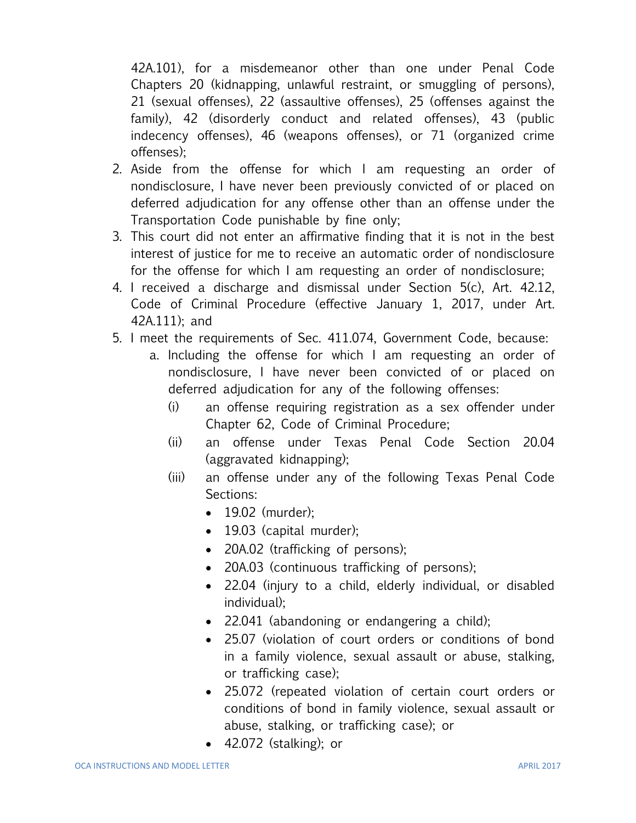42A.101), for a misdemeanor other than one under Penal Code Chapters 20 (kidnapping, unlawful restraint, or smuggling of persons), 21 (sexual offenses), 22 (assaultive offenses), 25 (offenses against the family), 42 (disorderly conduct and related offenses), 43 (public indecency offenses), 46 (weapons offenses), or 71 (organized crime offenses);

- 2. Aside from the offense for which I am requesting an order of nondisclosure, I have never been previously convicted of or placed on deferred adjudication for any offense other than an offense under the Transportation Code punishable by fine only;
- 3. This court did not enter an affirmative finding that it is not in the best interest of justice for me to receive an automatic order of nondisclosure for the offense for which I am requesting an order of nondisclosure;
- 4. I received a discharge and dismissal under Section 5(c), Art. 42.12, Code of Criminal Procedure (effective January 1, 2017, under Art. 42A.111); and
- 5. I meet the requirements of Sec. 411.074, Government Code, because:
	- a. Including the offense for which I am requesting an order of nondisclosure, I have never been convicted of or placed on deferred adjudication for any of the following offenses:
		- (i) an offense requiring registration as a sex offender under Chapter 62, Code of Criminal Procedure;
		- (ii) an offense under Texas Penal Code Section 20.04 (aggravated kidnapping);
		- (iii) an offense under any of the following Texas Penal Code Sections:
			- 19.02 (murder);
			- 19.03 (capital murder);
			- 20A.02 (trafficking of persons);
			- 20A.03 (continuous trafficking of persons);
			- 22.04 (injury to a child, elderly individual, or disabled individual);
			- 22.041 (abandoning or endangering a child);
			- 25.07 (violation of court orders or conditions of bond in a family violence, sexual assault or abuse, stalking, or trafficking case);
			- 25.072 (repeated violation of certain court orders or conditions of bond in family violence, sexual assault or abuse, stalking, or trafficking case); or
			- 42.072 (stalking); or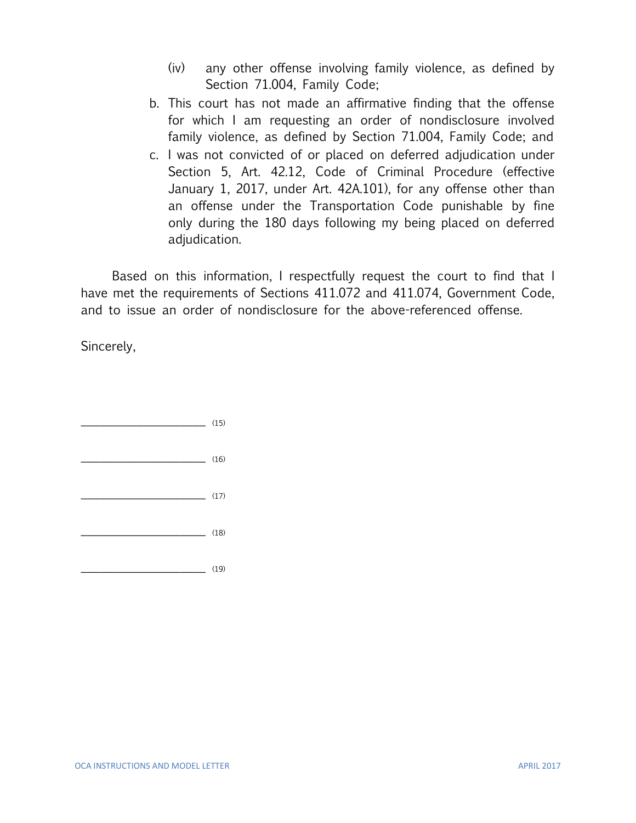- (iv) any other offense involving family violence, as defined by Section 71.004, Family Code;
- b. This court has not made an affirmative finding that the offense for which I am requesting an order of nondisclosure involved family violence, as defined by Section 71.004, Family Code; and
- c. I was not convicted of or placed on deferred adjudication under Section 5, Art. 42.12, Code of Criminal Procedure (effective January 1, 2017, under Art. 42A.101), for any offense other than an offense under the Transportation Code punishable by fine only during the 180 days following my being placed on deferred adjudication.

Based on this information, I respectfully request the court to find that I have met the requirements of Sections 411.072 and 411.074, Government Code, and to issue an order of nondisclosure for the above-referenced offense.

Sincerely,

|                 | (15) |
|-----------------|------|
| <b>Contract</b> | (16) |
| <b>Contract</b> | (17) |
|                 | (18) |
|                 | (19) |